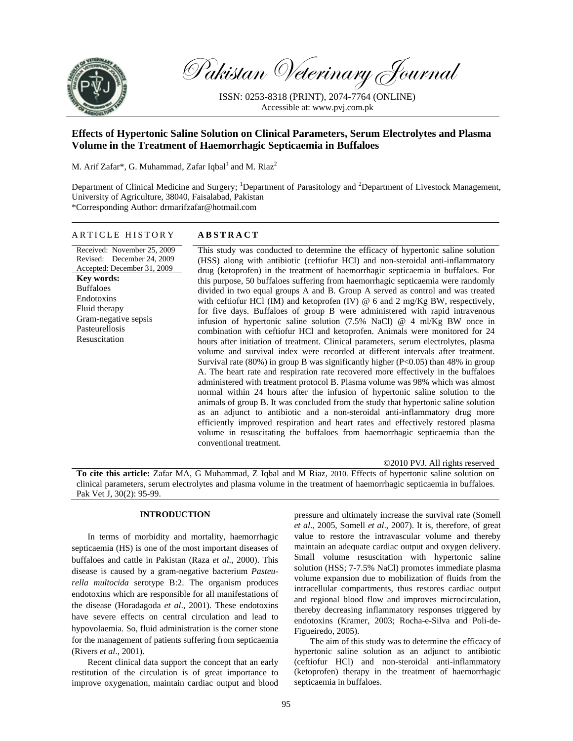

Pakistan Veterinary Journal

ISSN: 0253-8318 (PRINT), 2074-7764 (ONLINE) Accessible at: www.pvj.com.pk

# **Effects of Hypertonic Saline Solution on Clinical Parameters, Serum Electrolytes and Plasma Volume in the Treatment of Haemorrhagic Septicaemia in Buffaloes**

M. Arif Zafar\*, G. Muhammad, Zafar Iqbal<sup>1</sup> and M. Riaz<sup>2</sup>

Department of Clinical Medicine and Surgery; <sup>1</sup>Department of Parasitology and <sup>2</sup>Department of Livestock Management, University of Agriculture, 38040, Faisalabad, Pakistan \*Corresponding Author: drmarifzafar@hotmail.com

# ARTICLE HISTORY **ABSTRACT**

Received: November 25, 2009 Revised: December 24, 2009 Accepted: December 31, 2009 **Key words:**  Buffaloes Endotoxins Fluid therapy Gram-negative sepsis Pasteurellosis Resuscitation

This study was conducted to determine the efficacy of hypertonic saline solution (HSS) along with antibiotic (ceftiofur HCl) and non-steroidal anti-inflammatory drug (ketoprofen) in the treatment of haemorrhagic septicaemia in buffaloes. For this purpose, 50 buffaloes suffering from haemorrhagic septicaemia were randomly divided in two equal groups A and B. Group A served as control and was treated with ceftiofur HCl (IM) and ketoprofen (IV)  $\omega$  6 and 2 mg/Kg BW, respectively, for five days. Buffaloes of group B were administered with rapid intravenous infusion of hypertonic saline solution (7.5% NaCl) @ 4 ml/Kg BW once in combination with ceftiofur HCl and ketoprofen. Animals were monitored for 24 hours after initiation of treatment. Clinical parameters, serum electrolytes, plasma volume and survival index were recorded at different intervals after treatment. Survival rate (80%) in group B was significantly higher (P<0.05) than 48% in group A. The heart rate and respiration rate recovered more effectively in the buffaloes administered with treatment protocol B. Plasma volume was 98% which was almost normal within 24 hours after the infusion of hypertonic saline solution to the animals of group B. It was concluded from the study that hypertonic saline solution as an adjunct to antibiotic and a non-steroidal anti-inflammatory drug more efficiently improved respiration and heart rates and effectively restored plasma volume in resuscitating the buffaloes from haemorrhagic septicaemia than the conventional treatment.

©2010 PVJ. All rights reserved

**To cite this article:** Zafar MA, G Muhammad, Z Iqbal and M Riaz, 2010. Effects of hypertonic saline solution on clinical parameters, serum electrolytes and plasma volume in the treatment of haemorrhagic septicaemia in buffaloes. Pak Vet J, 30(2): 95-99.

# **INTRODUCTION**

In terms of morbidity and mortality, haemorrhagic septicaemia (HS) is one of the most important diseases of buffaloes and cattle in Pakistan (Raza *et al*., 2000). This disease is caused by a gram-negative bacterium *Pasteurella multocida* serotype B:2. The organism produces endotoxins which are responsible for all manifestations of the disease (Horadagoda *et al*., 2001). These endotoxins have severe effects on central circulation and lead to hypovolaemia. So, fluid administration is the corner stone for the management of patients suffering from septicaemia (Rivers *et al*., 2001).

Recent clinical data support the concept that an early restitution of the circulation is of great importance to improve oxygenation, maintain cardiac output and blood

pressure and ultimately increase the survival rate (Somell *et al*., 2005, Somell *et al*., 2007). It is, therefore, of great value to restore the intravascular volume and thereby maintain an adequate cardiac output and oxygen delivery. Small volume resuscitation with hypertonic saline solution (HSS; 7-7.5% NaCl) promotes immediate plasma volume expansion due to mobilization of fluids from the intracellular compartments, thus restores cardiac output and regional blood flow and improves microcirculation, thereby decreasing inflammatory responses triggered by endotoxins (Kramer, 2003; Rocha-e-Silva and Poli-de-Figueiredo, 2005).

The aim of this study was to determine the efficacy of hypertonic saline solution as an adjunct to antibiotic (ceftiofur HCl) and non-steroidal anti-inflammatory (ketoprofen) therapy in the treatment of haemorrhagic septicaemia in buffaloes.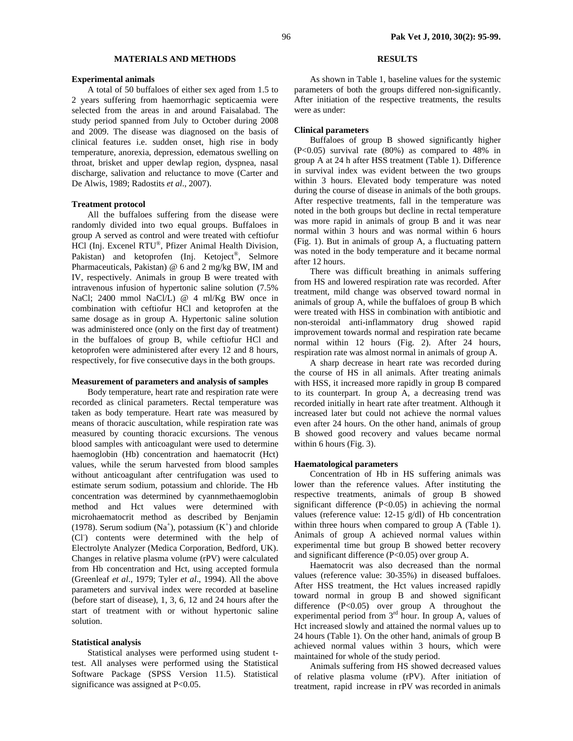# **MATERIALS AND METHODS**

#### **Experimental animals**

A total of 50 buffaloes of either sex aged from 1.5 to 2 years suffering from haemorrhagic septicaemia were selected from the areas in and around Faisalabad. The study period spanned from July to October during 2008 and 2009. The disease was diagnosed on the basis of clinical features i.e. sudden onset, high rise in body temperature, anorexia, depression, edematous swelling on throat, brisket and upper dewlap region, dyspnea, nasal discharge, salivation and reluctance to move (Carter and De Alwis, 1989; Radostits *et al*., 2007).

#### **Treatment protocol**

All the buffaloes suffering from the disease were randomly divided into two equal groups. Buffaloes in group A served as control and were treated with ceftiofur HCl (Inj. Excenel RTU®, Pfizer Animal Health Division, Pakistan) and ketoprofen (Inj. Ketoject<sup>®</sup>, Selmore Pharmaceuticals, Pakistan) @ 6 and 2 mg/kg BW, IM and IV, respectively. Animals in group B were treated with intravenous infusion of hypertonic saline solution (7.5% NaCl; 2400 mmol NaCl/L) @ 4 ml/Kg BW once in combination with ceftiofur HCl and ketoprofen at the same dosage as in group A. Hypertonic saline solution was administered once (only on the first day of treatment) in the buffaloes of group B, while ceftiofur HCl and ketoprofen were administered after every 12 and 8 hours, respectively, for five consecutive days in the both groups.

#### **Measurement of parameters and analysis of samples**

Body temperature, heart rate and respiration rate were recorded as clinical parameters. Rectal temperature was taken as body temperature. Heart rate was measured by means of thoracic auscultation, while respiration rate was measured by counting thoracic excursions. The venous blood samples with anticoagulant were used to determine haemoglobin (Hb) concentration and haematocrit (Hct) values, while the serum harvested from blood samples without anticoagulant after centrifugation was used to estimate serum sodium, potassium and chloride. The Hb concentration was determined by cyannmethaemoglobin method and Hct values were determined with microhaematocrit method as described by Benjamin (1978). Serum sodium  $(Na^+)$ , potassium  $(K^+)$  and chloride (Cl- ) contents were determined with the help of Electrolyte Analyzer (Medica Corporation, Bedford, UK). Changes in relative plasma volume (rPV) were calculated from Hb concentration and Hct, using accepted formula (Greenleaf *et al*., 1979; Tyler *et al*., 1994). All the above parameters and survival index were recorded at baseline (before start of disease), 1, 3, 6, 12 and 24 hours after the start of treatment with or without hypertonic saline solution.

# **Statistical analysis**

Statistical analyses were performed using student ttest. All analyses were performed using the Statistical Software Package (SPSS Version 11.5). Statistical significance was assigned at P<0.05.

# **RESULTS**

As shown in Table 1, baseline values for the systemic parameters of both the groups differed non-significantly. After initiation of the respective treatments, the results were as under:

#### **Clinical parameters**

Buffaloes of group B showed significantly higher (P<0.05) survival rate (80%) as compared to 48% in group A at 24 h after HSS treatment (Table 1). Difference in survival index was evident between the two groups within 3 hours. Elevated body temperature was noted during the course of disease in animals of the both groups. After respective treatments, fall in the temperature was noted in the both groups but decline in rectal temperature was more rapid in animals of group B and it was near normal within 3 hours and was normal within 6 hours (Fig. 1). But in animals of group A, a fluctuating pattern was noted in the body temperature and it became normal after 12 hours.

There was difficult breathing in animals suffering from HS and lowered respiration rate was recorded. After treatment, mild change was observed toward normal in animals of group A, while the buffaloes of group B which were treated with HSS in combination with antibiotic and non-steroidal anti-inflammatory drug showed rapid improvement towards normal and respiration rate became normal within 12 hours (Fig. 2). After 24 hours, respiration rate was almost normal in animals of group A.

A sharp decrease in heart rate was recorded during the course of HS in all animals. After treating animals with HSS, it increased more rapidly in group B compared to its counterpart. In group A, a decreasing trend was recorded initially in heart rate after treatment. Although it increased later but could not achieve the normal values even after 24 hours. On the other hand, animals of group B showed good recovery and values became normal within 6 hours (Fig. 3).

#### **Haematological parameters**

Concentration of Hb in HS suffering animals was lower than the reference values. After instituting the respective treatments, animals of group B showed significant difference (P<0.05) in achieving the normal values (reference value: 12-15 g/dl) of Hb concentration within three hours when compared to group A (Table 1). Animals of group A achieved normal values within experimental time but group B showed better recovery and significant difference (P<0.05) over group A.

Haematocrit was also decreased than the normal values (reference value: 30-35%) in diseased buffaloes. After HSS treatment, the Hct values increased rapidly toward normal in group B and showed significant difference (P<0.05) over group A throughout the experimental period from  $3<sup>rd</sup>$  hour. In group A, values of Hct increased slowly and attained the normal values up to 24 hours (Table 1). On the other hand, animals of group B achieved normal values within 3 hours, which were maintained for whole of the study period.

Animals suffering from HS showed decreased values of relative plasma volume (rPV). After initiation of treatment, rapid increase in rPV was recorded in animals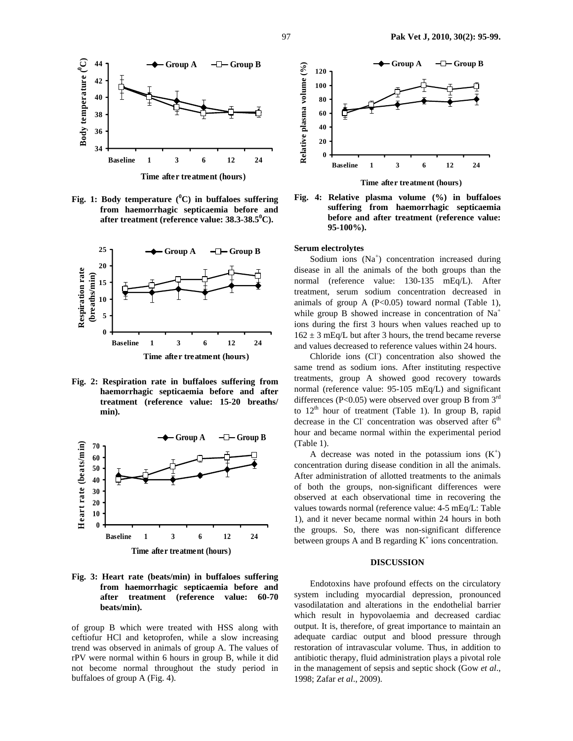

**Fig. 1: Body temperature (<sup>0</sup> C) in buffaloes suffering from haemorrhagic septicaemia before and**  after treatment (reference value: 38.3-38.5<sup>0</sup>C).



**Fig. 2: Respiration rate in buffaloes suffering from haemorrhagic septicaemia before and after treatment (reference value: 15-20 breaths/ min).** 



**Fig. 3: Heart rate (beats/min) in buffaloes suffering from haemorrhagic septicaemia before and after treatment (reference value: 60-70 beats/min).** 

of group B which were treated with HSS along with ceftiofur HCl and ketoprofen, while a slow increasing trend was observed in animals of group A. The values of rPV were normal within 6 hours in group B, while it did not become normal throughout the study period in buffaloes of group A (Fig. 4).



**Fig. 4: Relative plasma volume (%) in buffaloes suffering from haemorrhagic septicaemia before and after treatment (reference value:** 

#### **Serum electrolytes**

**95-100%).** 

Sodium ions (Na<sup>+</sup>) concentration increased during disease in all the animals of the both groups than the normal (reference value: 130-135 mEq/L). After treatment, serum sodium concentration decreased in animals of group A  $(P<0.05)$  toward normal (Table 1), while group B showed increase in concentration of  $Na<sup>+</sup>$ ions during the first 3 hours when values reached up to  $162 \pm 3$  mEq/L but after 3 hours, the trend became reverse and values decreased to reference values within 24 hours.

Chloride ions (Cl<sup>-</sup>) concentration also showed the same trend as sodium ions. After instituting respective treatments, group A showed good recovery towards normal (reference value: 95-105 mEq/L) and significant differences (P<0.05) were observed over group B from  $3<sup>rd</sup>$ to  $12<sup>th</sup>$  hour of treatment (Table 1). In group B, rapid decrease in the Cl<sup>-</sup> concentration was observed after 6<sup>th</sup> hour and became normal within the experimental period (Table 1).

A decrease was noted in the potassium ions  $(K^+)$ concentration during disease condition in all the animals. After administration of allotted treatments to the animals of both the groups, non-significant differences were observed at each observational time in recovering the values towards normal (reference value: 4-5 mEq/L: Table 1), and it never became normal within 24 hours in both the groups. So, there was non-significant difference between groups A and B regarding  $K^+$  ions concentration.

#### **DISCUSSION**

Endotoxins have profound effects on the circulatory system including myocardial depression, pronounced vasodilatation and alterations in the endothelial barrier which result in hypovolaemia and decreased cardiac output. It is, therefore, of great importance to maintain an adequate cardiac output and blood pressure through restoration of intravascular volume. Thus, in addition to antibiotic therapy, fluid administration plays a pivotal role in the management of sepsis and septic shock (Gow *et al*., 1998; Zafar *et al*., 2009).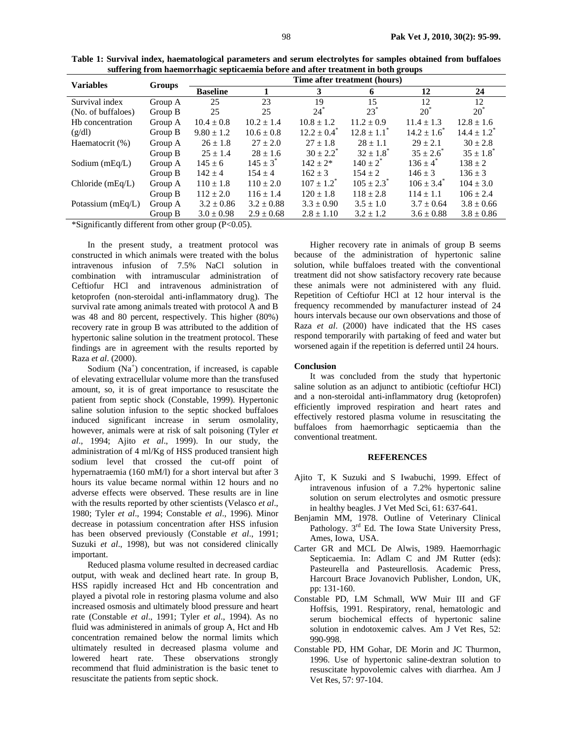| <b>Variables</b>    | <b>Groups</b> | Time after treatment (hours) |                |                       |                             |                         |                             |
|---------------------|---------------|------------------------------|----------------|-----------------------|-----------------------------|-------------------------|-----------------------------|
|                     |               | <b>Baseline</b>              |                | 3                     | 6                           | 12                      | 24                          |
| Survival index      | Group A       | 25                           | 23             | 19                    | 15                          | 12                      | 12                          |
| (No. of buffaloes)  | Group B       | 25                           | 25             | $24^*$                | $23^*$                      | $20^{\degree}$          | $20^*$                      |
| Hb concentration    | Group A       | $10.4 \pm 0.8$               | $10.2 \pm 1.4$ | $10.8 \pm 1.2$        | $11.2 \pm 0.9$              | $11.4 \pm 1.3$          | $12.8 \pm 1.6$              |
| (g/dl)              | Group $B$     | $9.80 \pm 1.2$               | $10.6 \pm 0.8$ | $12.2 \pm 0.4^*$      | $12.8 \pm 1.1$ <sup>*</sup> | $14.2 \pm 1.6^{\circ}$  | $14.4 \pm 1.2$ <sup>*</sup> |
| Haematocrit (%)     | Group A       | $26 \pm 1.8$                 | $27 + 2.0$     | $27 + 1.8$            | $28 + 1.1$                  | $29 + 2.1$              | $30 + 2.8$                  |
|                     | Group B       | $25 \pm 1.4$                 | $28 \pm 1.6$   | $30 \pm 2.2^*$        | $32 \pm 1.8$ <sup>*</sup>   | $35 \pm 2.6^*$          | $35 \pm 1.8^*$              |
| Sodium (mEq/L)      | Group A       | $145 \pm 6$                  | $145 + 3^*$    | $142 + 2*$            | $140 \pm 2^{*}$             | $136 \pm 4^{*}$         | $138 + 2$                   |
|                     | Group B       | $142 + 4$                    | $154 + 4$      | $162 + 3$             | $154 + 2$                   | $146 \pm 3$             | $136 \pm 3$                 |
| Chloride $(mEq/L)$  | Group A       | $110 \pm 1.8$                | $110 \pm 2.0$  | $107 + 1.2^{\degree}$ | $105 \pm 2.3$ <sup>*</sup>  | $106 \pm 3.4^{\degree}$ | $104 \pm 3.0$               |
|                     | Group B       | $112 \pm 2.0$                | $116 \pm 1.4$  | $120 \pm 1.8$         | $118 \pm 2.8$               | $114 \pm 1.1$           | $106 \pm 2.4$               |
| Potassium $(mEq/L)$ | Group A       | $3.2 \pm 0.86$               | $3.2 \pm 0.88$ | $3.3 \pm 0.90$        | $3.5 \pm 1.0$               | $3.7 \pm 0.64$          | $3.8 \pm 0.66$              |
|                     | Group B       | $3.0 \pm 0.98$               | $2.9 \pm 0.68$ | $2.8 \pm 1.10$        | $3.2 + 1.2$                 | $3.6 \pm 0.88$          | $3.8 \pm 0.86$              |

| Table 1: Survival index, haematological parameters and serum electrolytes for samples obtained from buffaloes |
|---------------------------------------------------------------------------------------------------------------|
| suffering from haemorrhagic septicaemia before and after treatment in both groups                             |

\*Significantly different from other group (P<0.05).

In the present study, a treatment protocol was constructed in which animals were treated with the bolus intravenous infusion of 7.5% NaCl solution in combination with intramuscular administration of Ceftiofur HCl and intravenous administration of ketoprofen (non-steroidal anti-inflammatory drug). The survival rate among animals treated with protocol A and B was 48 and 80 percent, respectively. This higher (80%) recovery rate in group B was attributed to the addition of hypertonic saline solution in the treatment protocol. These findings are in agreement with the results reported by Raza *et al*. (2000).

Sodium (Na<sup>+</sup>) concentration, if increased, is capable of elevating extracellular volume more than the transfused amount, so, it is of great importance to resuscitate the patient from septic shock (Constable, 1999). Hypertonic saline solution infusion to the septic shocked buffaloes induced significant increase in serum osmolality, however, animals were at risk of salt poisoning (Tyler *et al*., 1994; Ajito *et al*., 1999). In our study, the administration of 4 ml/Kg of HSS produced transient high sodium level that crossed the cut-off point of hypernatraemia (160 mM/l) for a short interval but after 3 hours its value became normal within 12 hours and no adverse effects were observed. These results are in line with the results reported by other scientists (Velasco *et al*., 1980; Tyler *et al*., 1994; Constable *et al*., 1996). Minor decrease in potassium concentration after HSS infusion has been observed previously (Constable *et al*., 1991; Suzuki *et al*., 1998), but was not considered clinically important.

Reduced plasma volume resulted in decreased cardiac output, with weak and declined heart rate. In group B, HSS rapidly increased Hct and Hb concentration and played a pivotal role in restoring plasma volume and also increased osmosis and ultimately blood pressure and heart rate (Constable *et al*., 1991; Tyler *et al*., 1994). As no fluid was administered in animals of group A, Hct and Hb concentration remained below the normal limits which ultimately resulted in decreased plasma volume and lowered heart rate. These observations strongly recommend that fluid administration is the basic tenet to resuscitate the patients from septic shock.

Higher recovery rate in animals of group B seems because of the administration of hypertonic saline solution, while buffaloes treated with the conventional treatment did not show satisfactory recovery rate because these animals were not administered with any fluid. Repetition of Ceftiofur HCl at 12 hour interval is the frequency recommended by manufacturer instead of 24 hours intervals because our own observations and those of Raza *et al*. (2000) have indicated that the HS cases respond temporarily with partaking of feed and water but worsened again if the repetition is deferred until 24 hours.

# **Conclusion**

It was concluded from the study that hypertonic saline solution as an adjunct to antibiotic (ceftiofur HCl) and a non-steroidal anti-inflammatory drug (ketoprofen) efficiently improved respiration and heart rates and effectively restored plasma volume in resuscitating the buffaloes from haemorrhagic septicaemia than the conventional treatment.

# **REFERENCES**

- Ajito T, K Suzuki and S Iwabuchi, 1999. Effect of intravenous infusion of a 7.2% hypertonic saline solution on serum electrolytes and osmotic pressure in healthy beagles. J Vet Med Sci, 61: 637-641.
- Benjamin MM, 1978. Outline of Veterinary Clinical Pathology. 3<sup>rd</sup> Ed. The Iowa State University Press, Ames, Iowa, USA.
- Carter GR and MCL De Alwis, 1989. Haemorrhagic Septicaemia. In: Adlam C and JM Rutter (eds): Pasteurella and Pasteurellosis. Academic Press, Harcourt Brace Jovanovich Publisher, London, UK, pp: 131-160.
- Constable PD, LM Schmall, WW Muir III and GF Hoffsis, 1991. Respiratory, renal, hematologic and serum biochemical effects of hypertonic saline solution in endotoxemic calves. Am J Vet Res, 52: 990-998.
- Constable PD, HM Gohar, DE Morin and JC Thurmon, 1996. Use of hypertonic saline-dextran solution to resuscitate hypovolemic calves with diarrhea. Am J Vet Res, 57: 97-104.